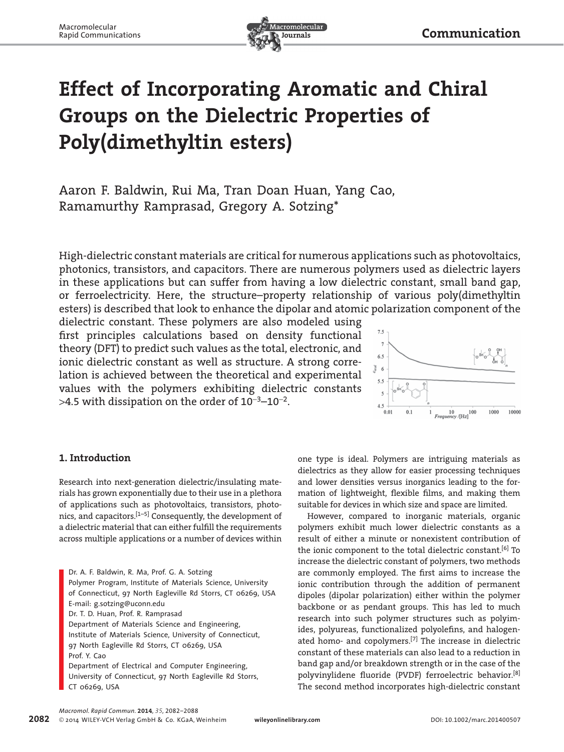

# **Effect of Incorporating Aromatic and Chiral Groups on the Dielectric Properties of Poly(dimethyltin esters)**

Aaron F. Baldwin, Rui Ma, Tran Doan Huan, Yang Cao, Ramamurthy Ramprasad, Gregory A. Sotzing\*

 High-dielectric constant materials are critical for numerous applications such as photovoltaics, photonics, transistors, and capacitors. There are numerous polymers used as dielectric layers in these applications but can suffer from having a low dielectric constant, small band gap, or ferroelectricity. Here, the structure–property relationship of various poly(dimethyltin esters) is described that look to enhance the dipolar and atomic polarization component of the

dielectric constant. These polymers are also modeled using first principles calculations based on density functional theory (DFT) to predict such values as the total, electronic, and ionic dielectric constant as well as structure. A strong correlation is achieved between the theoretical and experimental values with the polymers exhibiting dielectric constants  $>4.5$  with dissipation on the order of 10<sup>-3</sup>-10<sup>-2</sup>.



# **1. Introduction**

 Research into next-generation dielectric/insulating materials has grown exponentially due to their use in a plethora of applications such as photovoltaics, transistors, photonics, and capacitors.<sup>[1-5]</sup> Consequently, the development of a dielectric material that can either fulfill the requirements across multiple applications or a number of devices within

 Dr. A. F. Baldwin, R. Ma, Prof. G. A. Sotzing Polymer Program, Institute of Materials Science, University of Connecticut, 97 North Eagleville Rd Storrs, CT 06269, USA E-mail: g.sotzing@uconn.edu Dr. T. D. Huan, Prof. R. Ramprasad Department of Materials Science and Engineering, Institute of Materials Science, University of Connecticut, 97 North Eagleville Rd Storrs, CT 06269, USA Prof. Y. Cao Department of Electrical and Computer Engineering,

University of Connecticut, 97 North Eagleville Rd Storrs, CT 06269 , USA

one type is ideal. Polymers are intriguing materials as dielectrics as they allow for easier processing techniques and lower densities versus inorganics leading to the formation of lightweight, flexible films, and making them suitable for devices in which size and space are limited.

 However, compared to inorganic materials, organic polymers exhibit much lower dielectric constants as a result of either a minute or nonexistent contribution of the ionic component to the total dielectric constant.<sup>[6]</sup> To increase the dielectric constant of polymers, two methods are commonly employed. The first aims to increase the ionic contribution through the addition of permanent dipoles (dipolar polarization) either within the polymer backbone or as pendant groups. This has led to much research into such polymer structures such as polyimides, polyureas, functionalized polyolefins, and halogenated homo- and copolymers.<sup>[7]</sup> The increase in dielectric constant of these materials can also lead to a reduction in band gap and/or breakdown strength or in the case of the polyvinylidene fluoride (PVDF) ferroelectric behavior.<sup>[8]</sup> The second method incorporates high-dielectric constant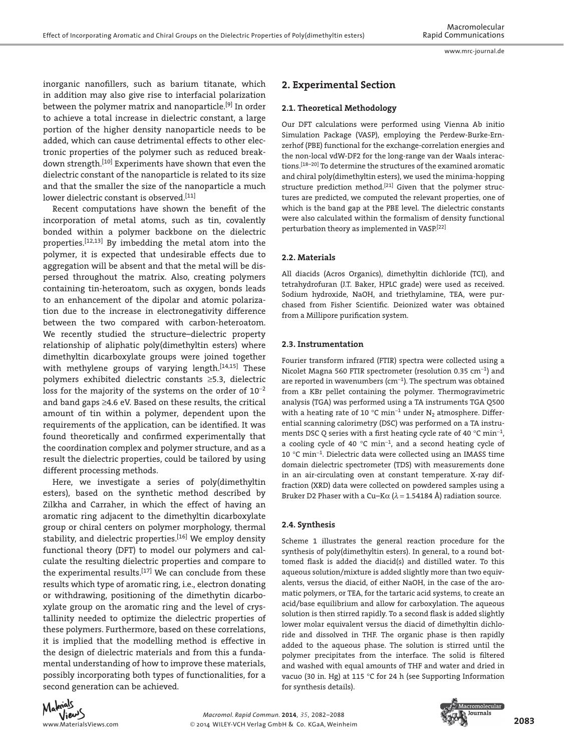inorganic nanofillers, such as barium titanate, which in addition may also give rise to interfacial polarization between the polymer matrix and nanoparticle.<sup>[9]</sup> In order to achieve a total increase in dielectric constant, a large portion of the higher density nanoparticle needs to be added, which can cause detrimental effects to other electronic properties of the polymer such as reduced breakdown strength.<sup>[10]</sup> Experiments have shown that even the dielectric constant of the nanoparticle is related to its size and that the smaller the size of the nanoparticle a much lower dielectric constant is observed.<sup>[11]</sup>

Recent computations have shown the benefit of the incorporation of metal atoms, such as tin, covalently bonded within a polymer backbone on the dielectric properties.<sup>[12,13]</sup> By imbedding the metal atom into the polymer, it is expected that undesirable effects due to aggregation will be absent and that the metal will be dispersed throughout the matrix. Also, creating polymers containing tin-heteroatom, such as oxygen, bonds leads to an enhancement of the dipolar and atomic polarization due to the increase in electronegativity difference between the two compared with carbon-heteroatom. We recently studied the structure–dielectric property relationship of aliphatic poly(dimethyltin esters) where dimethyltin dicarboxylate groups were joined together with methylene groups of varying length.<sup>[14,15]</sup> These polymers exhibited dielectric constants ≥5.3, dielectric loss for the majority of the systems on the order of  $10^{-2}$ and band gaps ≥4.6 eV. Based on these results, the critical amount of tin within a polymer, dependent upon the requirements of the application, can be identified. It was found theoretically and confirmed experimentally that the coordination complex and polymer structure, and as a result the dielectric properties, could be tailored by using different processing methods.

 Here, we investigate a series of poly(dimethyltin esters), based on the synthetic method described by Zilkha and Carraher, in which the effect of having an aromatic ring adjacent to the dimethyltin dicarboxylate group or chiral centers on polymer morphology, thermal stability, and dielectric properties.<sup>[16]</sup> We employ density functional theory (DFT) to model our polymers and calculate the resulting dielectric properties and compare to the experimental results.  $[17]$  We can conclude from these results which type of aromatic ring, i.e., electron donating or withdrawing, positioning of the dimethytin dicarboxylate group on the aromatic ring and the level of crystallinity needed to optimize the dielectric properties of these polymers. Furthermore, based on these correlations, it is implied that the modelling method is effective in the design of dielectric materials and from this a fundamental understanding of how to improve these materials, possibly incorporating both types of functionalities, for a second generation can be achieved.

# **2. Experimental Section**

## **2.1. Theoretical Methodology**

 Our DFT calculations were performed using Vienna Ab initio Simulation Package (VASP), employing the Perdew-Burke-Ernzerhof (PBE) functional for the exchange-correlation energies and the non-local vdW-DF2 for the long-range van der Waals interactions.<sup>[18-20]</sup> To determine the structures of the examined aromatic and chiral poly(dimethyltin esters), we used the minima-hopping structure prediction method.<sup>[21]</sup> Given that the polymer structures are predicted, we computed the relevant properties, one of which is the band gap at the PBE level. The dielectric constants were also calculated within the formalism of density functional perturbation theory as implemented in VASP.[22]

## **2.2. Materials**

 All diacids (Acros Organics), dimethyltin dichloride (TCI), and tetrahydrofuran (J.T. Baker, HPLC grade) were used as received. Sodium hydroxide, NaOH, and triethylamine, TEA, were purchased from Fisher Scientific. Deionized water was obtained from a Millipore purification system.

#### **2.3. Instrumentation**

 Fourier transform infrared (FTIR) spectra were collected using a Nicolet Magna 560 FTIR spectrometer (resolution 0.35  $cm^{-1}$ ) and are reported in wavenumbers ( $cm<sup>-1</sup>$ ). The spectrum was obtained from a KBr pellet containing the polymer. Thermogravimetric analysis (TGA) was performed using a TA instruments TGA Q500 with a heating rate of 10 °C min<sup>-1</sup> under  $N_2$  atmosphere. Differential scanning calorimetry (DSC) was performed on a TA instruments DSC O series with a first heating cycle rate of 40  $^{\circ}$ C min<sup>-1</sup>, a cooling cycle of 40  $^{\circ}$ C min<sup>-1</sup>, and a second heating cycle of 10 °C min<sup>-1</sup>. Dielectric data were collected using an IMASS time domain dielectric spectrometer (TDS) with measurements done in an air-circulating oven at constant temperature. X-ray diffraction (XRD) data were collected on powdered samples using a Bruker D2 Phaser with a Cu–K $\alpha$  ( $\lambda$  = 1.54184 Å) radiation source.

#### **2.4. Synthesis**

 Scheme 1 illustrates the general reaction procedure for the synthesis of poly(dimethyltin esters). In general, to a round bottomed flask is added the diacid(s) and distilled water. To this aqueous solution/mixture is added slightly more than two equivalents, versus the diacid, of either NaOH, in the case of the aromatic polymers, or TEA, for the tartaric acid systems, to create an acid/base equilibrium and allow for carboxylation. The aqueous solution is then stirred rapidly. To a second flask is added slightly lower molar equivalent versus the diacid of dimethyltin dichloride and dissolved in THF. The organic phase is then rapidly added to the aqueous phase. The solution is stirred until the polymer precipitates from the interface. The solid is filtered and washed with equal amounts of THF and water and dried in vacuo (30 in. Hg) at 115 °C for 24 h (see Supporting Information for synthesis details).



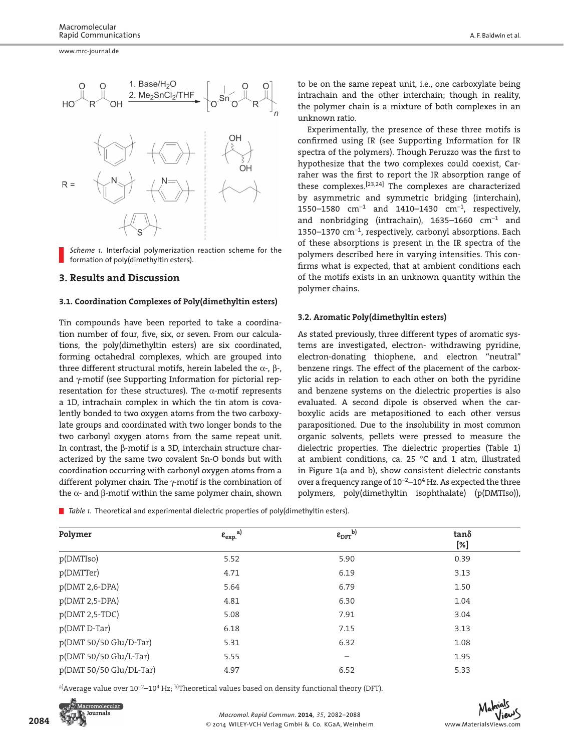

*Scheme 1.* Interfacial polymerization reaction scheme for the formation of poly(dimethyltin esters).

## **3. Results and Discussion**

#### **3.1. Coordination Complexes of Poly(dimethyltin esters)**

 Tin compounds have been reported to take a coordination number of four, five, six, or seven. From our calculations, the poly(dimethyltin esters) are six coordinated, forming octahedral complexes, which are grouped into three different structural motifs, herein labeled the  $\alpha$ -, β-, and γ-motif (see Supporting Information for pictorial representation for these structures). The  $\alpha$ -motif represents a 1D, intrachain complex in which the tin atom is covalently bonded to two oxygen atoms from the two carboxylate groups and coordinated with two longer bonds to the two carbonyl oxygen atoms from the same repeat unit. In contrast, the β-motif is a 3D, interchain structure characterized by the same two covalent Sn-O bonds but with coordination occurring with carbonyl oxygen atoms from a different polymer chain. The γ-motif is the combination of the  $α$ - and  $β$ -motif within the same polymer chain, shown

to be on the same repeat unit, i.e., one carboxylate being intrachain and the other interchain; though in reality, the polymer chain is a mixture of both complexes in an unknown ratio.

 Experimentally, the presence of these three motifs is confirmed using IR (see Supporting Information for IR spectra of the polymers). Though Peruzzo was the first to hypothesize that the two complexes could coexist, Carraher was the first to report the IR absorption range of these complexes.  $[23,24]$  The complexes are characterized by asymmetric and symmetric bridging (interchain), 1550–1580  $cm^{-1}$  and 1410–1430  $cm^{-1}$ , respectively, and nonbridging (intrachain), 1635–1660  $cm^{-1}$  and 1350–1370  $cm<sup>-1</sup>$ , respectively, carbonyl absorptions. Each of these absorptions is present in the IR spectra of the polymers described here in varying intensities. This confirms what is expected, that at ambient conditions each of the motifs exists in an unknown quantity within the polymer chains.

## **3.2. Aromatic Poly(dimethyltin esters)**

 As stated previously, three different types of aromatic systems are investigated, electron- withdrawing pyridine, electron-donating thiophene, and electron "neutral" benzene rings. The effect of the placement of the carboxylic acids in relation to each other on both the pyridine and benzene systems on the dielectric properties is also evaluated. A second dipole is observed when the carboxylic acids are metapositioned to each other versus parapositioned. Due to the insolubility in most common organic solvents, pellets were pressed to measure the dielectric properties. The dielectric properties (Table 1) at ambient conditions, ca. 25 °C and 1 atm, illustrated in Figure 1(a and b), show consistent dielectric constants over a frequency range of  $10^{-2}$  –  $10^4$  Hz. As expected the three polymers, poly(dimethyltin isophthalate) (p(DMTIso)),

■ *Table 1*. Theoretical and experimental dielectric properties of poly(dimethyltin esters).

| Polymer                 | $\epsilon_{\rm exp.}^{\rm a)}$ | $\epsilon_{\rm DFT}^{\rm (b)}$ | $tan\delta$<br>[%] |
|-------------------------|--------------------------------|--------------------------------|--------------------|
|                         |                                |                                |                    |
| p(DMTTer)               | 4.71                           | 6.19                           | 3.13               |
| p(DMT 2,6-DPA)          | 5.64                           | 6.79                           | 1.50               |
| p(DMT 2,5-DPA)          | 4.81                           | 6.30                           | 1.04               |
| $p(DMT 2, 5-TDC)$       | 5.08                           | 7.91                           | 3.04               |
| p(DMT D-Tar)            | 6.18                           | 7.15                           | 3.13               |
| p(DMT 50/50 Glu/D-Tar)  | 5.31                           | 6.32                           | 1.08               |
| p(DMT 50/50 Glu/L-Tar)  | 5.55                           | -                              | 1.95               |
| p(DMT 50/50 Glu/DL-Tar) | 4.97                           | 6.52                           | 5.33               |

a) Average value over  $10^{-2}$  –  $10^4$  Hz; b) Theoretical values based on density functional theory (DFT).



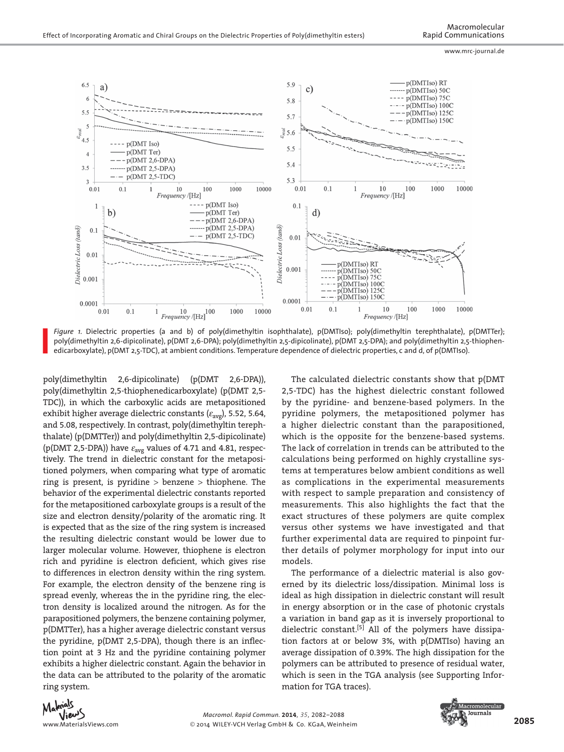

*Figure 1.* Dielectric properties (a and b) of poly(dimethyltin isophthalate), p(DMTIso); poly(dimethyltin terephthalate), p(DMTTer); poly(dimethyltin 2,6-dipicolinate), p(DMT 2,6-DPA); poly(dimethyltin 2,5-dipicolinate), p(DMT 2,5-DPA); and poly(dimethyltin 2,5-thiophenedicarboxylate), p(DMT 2,5-TDC), at ambient conditions. Temperature dependence of dielectric properties, c and d, of p(DMTIso).

poly(dimethyltin 2,6-dipicolinate) (p(DMT 2,6-DPA)), poly(dimethyltin 2,5-thiophenedicarboxylate) (p(DMT 2,5- TDC)), in which the carboxylic acids are metapositioned exhibit higher average dielectric constants ( $\varepsilon_{\text{avg}}$ ), 5.52, 5.64, and 5.08, respectively. In contrast, poly(dimethyltin terephthalate) (p(DMTTer)) and poly(dimethyltin 2,5-dipicolinate) (p(DMT 2,5-DPA)) have  $\varepsilon_{\text{avg}}$  values of 4.71 and 4.81, respectively. The trend in dielectric constant for the metapositioned polymers, when comparing what type of aromatic ring is present, is pyridine > benzene > thiophene. The behavior of the experimental dielectric constants reported for the metapositioned carboxylate groups is a result of the size and electron density/polarity of the aromatic ring. It is expected that as the size of the ring system is increased the resulting dielectric constant would be lower due to larger molecular volume. However, thiophene is electron rich and pyridine is electron deficient, which gives rise to differences in electron density within the ring system. For example, the electron density of the benzene ring is spread evenly, whereas the in the pyridine ring, the electron density is localized around the nitrogen. As for the parapositioned polymers, the benzene containing polymer, p(DMTTer), has a higher average dielectric constant versus the pyridine,  $p(DMT 2,5-DPA)$ , though there is an inflection point at 3 Hz and the pyridine containing polymer exhibits a higher dielectric constant. Again the behavior in the data can be attributed to the polarity of the aromatic ring system.

 The calculated dielectric constants show that p(DMT 2,5-TDC) has the highest dielectric constant followed by the pyridine- and benzene-based polymers. In the pyridine polymers, the metapositioned polymer has a higher dielectric constant than the parapositioned, which is the opposite for the benzene-based systems. The lack of correlation in trends can be attributed to the calculations being performed on highly crystalline systems at temperatures below ambient conditions as well as complications in the experimental measurements with respect to sample preparation and consistency of measurements. This also highlights the fact that the exact structures of these polymers are quite complex versus other systems we have investigated and that further experimental data are required to pinpoint further details of polymer morphology for input into our models.

 The performance of a dielectric material is also governed by its dielectric loss/dissipation. Minimal loss is ideal as high dissipation in dielectric constant will result in energy absorption or in the case of photonic crystals a variation in band gap as it is inversely proportional to dielectric constant.<sup>[5]</sup> All of the polymers have dissipation factors at or below 3%, with p(DMTIso) having an average dissipation of 0.39%. The high dissipation for the polymers can be attributed to presence of residual water, which is seen in the TGA analysis (see Supporting Information for TGA traces).



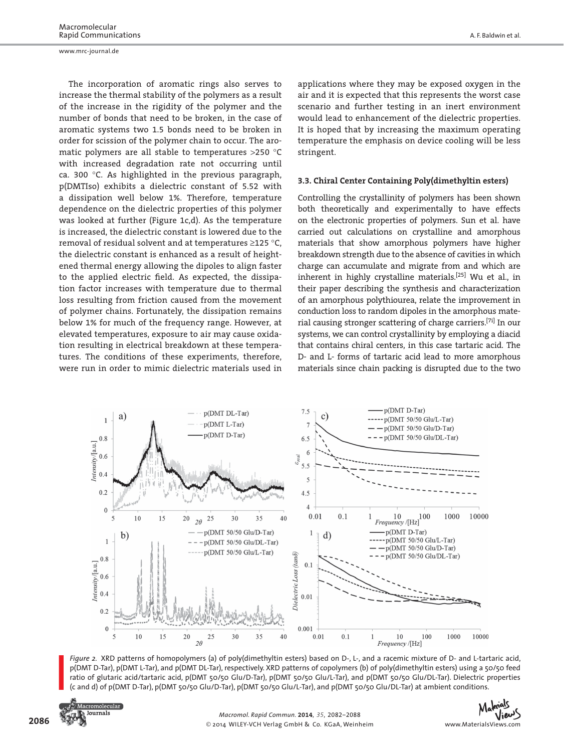The incorporation of aromatic rings also serves to increase the thermal stability of the polymers as a result of the increase in the rigidity of the polymer and the number of bonds that need to be broken, in the case of aromatic systems two 1.5 bonds need to be broken in order for scission of the polymer chain to occur. The aromatic polymers are all stable to temperatures >250 °C with increased degradation rate not occurring until ca. 300 °C. As highlighted in the previous paragraph, p(DMTIso) exhibits a dielectric constant of 5.52 with a dissipation well below 1%. Therefore, temperature dependence on the dielectric properties of this polymer was looked at further (Figure 1c,d). As the temperature is increased, the dielectric constant is lowered due to the removal of residual solvent and at temperatures ≥125 °C, the dielectric constant is enhanced as a result of heightened thermal energy allowing the dipoles to align faster to the applied electric field. As expected, the dissipation factor increases with temperature due to thermal loss resulting from friction caused from the movement of polymer chains. Fortunately, the dissipation remains below 1% for much of the frequency range. However, at elevated temperatures, exposure to air may cause oxidation resulting in electrical breakdown at these temperatures. The conditions of these experiments, therefore, were run in order to mimic dielectric materials used in

applications where they may be exposed oxygen in the air and it is expected that this represents the worst case scenario and further testing in an inert environment would lead to enhancement of the dielectric properties. It is hoped that by increasing the maximum operating temperature the emphasis on device cooling will be less stringent.

#### **3.3. Chiral Center Containing Poly(dimethyltin esters)**

 Controlling the crystallinity of polymers has been shown both theoretically and experimentally to have effects on the electronic properties of polymers. Sun et al. have carried out calculations on crystalline and amorphous materials that show amorphous polymers have higher breakdown strength due to the absence of cavities in which charge can accumulate and migrate from and which are inherent in highly crystalline materials.<sup>[25]</sup> Wu et al., in their paper describing the synthesis and characterization of an amorphous polythiourea, relate the improvement in conduction loss to random dipoles in the amorphous material causing stronger scattering of charge carriers.<sup>[7i]</sup> In our systems, we can control crystallinity by employing a diacid that contains chiral centers, in this case tartaric acid. The D- and L- forms of tartaric acid lead to more amorphous materials since chain packing is disrupted due to the two



*Figure 2.* XRD patterns of homopolymers (a) of poly(dimethyltin esters) based on D-, L-, and a racemic mixture of D- and L-tartaric acid, p(DMT D-Tar), p(DMT L-Tar), and p(DMT DL-Tar), respectively. XRD patterns of copolymers (b) of poly(dimethyltin esters) using a 50/50 feed ratio of glutaric acid/tartaric acid, p(DMT 50/50 Glu/D-Tar), p(DMT 50/50 Glu/L-Tar), and p(DMT 50/50 Glu/DL-Tar). Dielectric properties (c and d) of p(DMT D-Tar), p(DMT 50/50 Glu/D-Tar), p(DMT 50/50 Glu/L-Tar), and p(DMT 50/50 Glu/DL-Tar) at ambient conditions.



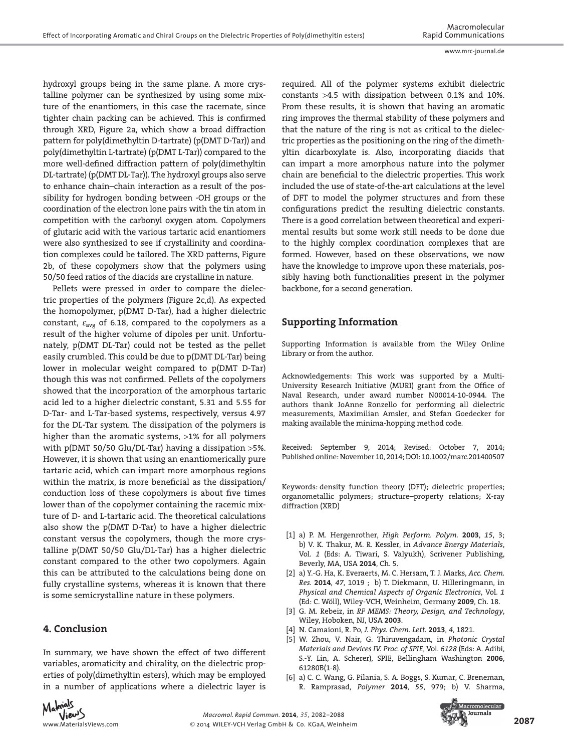hydroxyl groups being in the same plane. A more crystalline polymer can be synthesized by using some mixture of the enantiomers, in this case the racemate, since tighter chain packing can be achieved. This is confirmed through XRD, Figure 2a, which show a broad diffraction pattern for poly(dimethyltin D-tartrate) (p(DMT D-Tar)) and poly(dimethyltin L-tartrate) (p(DMT L-Tar)) compared to the more well-defined diffraction pattern of poly(dimethyltin DL-tartrate) (p(DMT DL-Tar)). The hydroxyl groups also serve to enhance chain–chain interaction as a result of the possibility for hydrogen bonding between -OH groups or the coordination of the electron lone pairs with the tin atom in competition with the carbonyl oxygen atom. Copolymers of glutaric acid with the various tartaric acid enantiomers were also synthesized to see if crystallinity and coordination complexes could be tailored. The XRD patterns, Figure 2b, of these copolymers show that the polymers using 50/50 feed ratios of the diacids are crystalline in nature.

 Pellets were pressed in order to compare the dielectric properties of the polymers (Figure 2c,d). As expected the homopolymer, p(DMT D-Tar), had a higher dielectric constant,  $\varepsilon_{\text{avg}}$  of 6.18, compared to the copolymers as a result of the higher volume of dipoles per unit. Unfortunately, p(DMT DL-Tar) could not be tested as the pellet easily crumbled. This could be due to p(DMT DL-Tar) being lower in molecular weight compared to p(DMT D-Tar) though this was not confirmed. Pellets of the copolymers showed that the incorporation of the amorphous tartaric acid led to a higher dielectric constant, 5.31 and 5.55 for D-Tar- and L-Tar-based systems, respectively, versus 4.97 for the DL-Tar system. The dissipation of the polymers is higher than the aromatic systems, >1% for all polymers with p(DMT 50/50 Glu/DL-Tar) having a dissipation >5%. However, it is shown that using an enantiomerically pure tartaric acid, which can impart more amorphous regions within the matrix, is more beneficial as the dissipation/ conduction loss of these copolymers is about five times lower than of the copolymer containing the racemic mixture of D- and L-tartaric acid. The theoretical calculations also show the p(DMT D-Tar) to have a higher dielectric constant versus the copolymers, though the more crystalline p(DMT 50/50 Glu/DL-Tar) has a higher dielectric constant compared to the other two copolymers. Again this can be attributed to the calculations being done on fully crystalline systems, whereas it is known that there is some semicrystalline nature in these polymers.

# **4. Conclusion**

 In summary, we have shown the effect of two different variables, aromaticity and chirality, on the dielectric properties of poly(dimethyltin esters), which may be employed in a number of applications where a dielectric layer is required. All of the polymer systems exhibit dielectric constants >4.5 with dissipation between 0.1% and 10%. From these results, it is shown that having an aromatic ring improves the thermal stability of these polymers and that the nature of the ring is not as critical to the dielectric properties as the positioning on the ring of the dimethyltin dicarboxylate is. Also, incorporating diacids that can impart a more amorphous nature into the polymer chain are beneficial to the dielectric properties. This work included the use of state-of-the-art calculations at the level of DFT to model the polymer structures and from these configurations predict the resulting dielectric constants. There is a good correlation between theoretical and experimental results but some work still needs to be done due to the highly complex coordination complexes that are formed. However, based on these observations, we now have the knowledge to improve upon these materials, possibly having both functionalities present in the polymer backbone, for a second generation.

# **Supporting Information**

 Supporting Information is available from the Wiley Online Library or from the author.

 Acknowledgements: This work was supported by a Multi-University Research Initiative (MURI) grant from the Office of Naval Research, under award number N00014-10-0944. The authors thank JoAnne Ronzello for performing all dielectric measurements, Maximilian Amsler, and Stefan Goedecker for making available the minima-hopping method code.

Received: September 9, 2014; Revised: October 7, 2014; Published online: November 10, 2014; DOI: 10.1002/marc.201400507

Keywords: density function theory (DFT); dielectric properties; organometallic polymers; structure-property relations; X-ray diffraction (XRD)

- [1] a) P. M. Hergenrother, *High Perform. Polym.* 2003, 15, 3; b) V. K. Thakur, M. R. Kessler, in *Advance Energy Materials*, Vol. 1 (Eds: A. Tiwari, S. Valyukh), Scrivener Publishing, Beverly, MA, USA **2014** , Ch. 5 .
- [2] a) Y.-G. Ha, K. Everaerts, M. C. Hersam, T. J. Marks, Acc. Chem. *Res.* **2014** , *47* , 1019 ; b) T. Diekmann , U. Hilleringmann , in  *Physical and Chemical Aspects of Organic Electronics* , Vol. *1* (Ed: C. Wöll), Wiley-VCH, Weinheim, Germany 2009, Ch. 18.
- [3] G. M. Rebeiz, in *RF MEMS: Theory, Design, and Technology,* Wiley , Hoboken, NJ, USA **2003** .
- [4] N. Camaioni , R. Po , *J. Phys. Chem. Lett.* **2013** , *4* , 1821 .
- [5] W. Zhou, V. Nair, G. Thiruvengadam, in *Photonic Crystal Materials and Devices IV. Proc. of SPIE, Vol. 6128 (Eds: A. Adibi,* S.-Y. Lin, A. Scherer), SPIE, Bellingham Washington 2006, 61280B(1-8).
- [6] a) C. C. Wang, G. Pilania, S. A. Boggs, S. Kumar, C. Breneman, R. Ramprasad, *Polymer* 2014, 55, 979; b) V. Sharma,